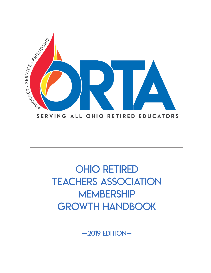

# OHIO RETIRED TEACHERS ASSOCIATION **MEMBERSHIP** GROWTH HANDBOOK

—2019 edition—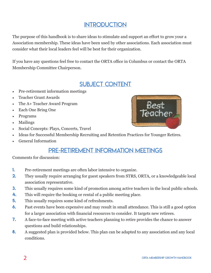#### **INTRODUCTION**

The purpose of this handbook is to share ideas to stimulate and support an effort to grow your a Association membership. These ideas have been used by other associations. Each association must consider what their local leaders feel will be best for their organization.

If you have any questions feel free to contact the ORTA office in Columbus or contact the ORTA Membership Committee Chairperson.

#### SUBJECT CONTENT

- Pre-retirement information meetings
- Teacher Grant Awards
- The A+ Teacher Award Program
- Each One Bring One
- Programs
- Mailings
- Social Concepts: Plays, Concerts, Travel



- Ideas for Successful Membership Recruiting and Retention Practices for Younger Retires.
- General Information

#### Pre-retirement Information Meetings

Comments for discussion:

- 1. Pre-retirement meetings are often labor intensive to organize.
- 2. They usually require arranging for guest speakers from STRS, ORTA, or a knowledgeable local association representative.
- **3.** This usually requires some kind of promotion among active teachers in the local public schools.
- 4. This will require the booking or rental of a public meeting place.
- **5.** This usually requires some kind of refreshments.
- 6. Past events have been expensive and may result in small attendance. This is still a good option for a larger association with financial resources to consider. It targets new retirees.
- 7. A face-to-face meeting with active teachers planning to retire provides the chance to answer questions and build relationships.
- 8. A suggested plan is provided below. This plan can be adapted to any association and any local conditions.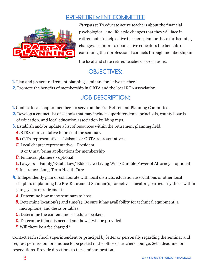#### Pre-Retirement Committee



*Purpose:* To educate active teachers about the financial, psychological, and life-style changes that they will face in retirement. To help active teachers plan for these forthcoming changes. To impress upon active educators the benefits of continuing their professional contacts through membership in

the local and state retired teachers' associations.

#### OBJECTIVES:

- 1. Plan and present retirement planning seminars for active teachers.
- 2. Promote the benefits of membership in ORTA and the local RTA association.

#### JOB DESCRIPTION:

- 1. Contact local chapter members to serve on the Pre-Retirement Planning Committee.
- 2. Develop a contact list of schools that may include superintendents, principals, county boards of education, and local education association building reps.
- **3.** Establish and/or update a list of resources within the retirement planning field.
	- *a.* STRS representative to present the seminar.
	- *b.* ORTA representative Liaisons or ORTA representatives.
	- *c.* Local chapter representative President B or C may bring applications for membership
	- *D.* Financial planners optional
	- *e.* Lawyers Family/Estate Law/ Elder Law/Living Wills/Durable Power of Attorney optional
	- *f.* Insurance- Long-Term Health Care
- 4. Independently plan or collaborate with local districts/education associations or other local chapters in planning the Pre-Retirement Seminar(s) for active educators, particularly those within 3 to 5 years of retirement.
	- *a.* Determine how many seminars to host.
	- *b*. Determine location(s) and time(s). Be sure it has availability for technical equipment, a microphone, and desks or tables.
	- *c.* Determine the content and schedule speakers.
	- *D.* Determine if food is needed and how it will be provided.
	- *E.* Will there be a fee charged?

Contact each school superintendent or principal by letter or personally regarding the seminar and request permission for a notice to be posted in the office or teachers' lounge. Set a deadline for reservations. Provide directions to the seminar location.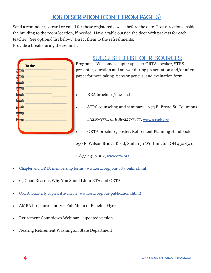## Job Description (con't from page 3)

Send a reminder postcard or email for those registered a week before the date. Post directions inside the building to the room location, if needed. Have a table outside the door with packets for each teacher. (See optional list below.) Direct them to the refreshments. Provide a break during the seminar.

|          |             | To do: | I |
|----------|-------------|--------|---|
| \$       |             |        | I |
| <b>d</b> |             |        | I |
| ₫-       |             |        |   |
| 9        |             |        |   |
| ₫        |             |        |   |
|          | +           |        |   |
| අ        |             |        |   |
|          |             |        |   |
|          | $\mathbf T$ |        |   |
|          |             |        |   |
|          |             |        |   |
|          |             |        |   |

#### Suggested list of resources:

Program – Welcome, chapter speaker ORTA speaker, STRS presenter, question and answer during presentation and/or after, paper for note taking, pens or pencils, and evaluation form.

- REA brochure/newsletter
- $STRS$  counseling and seminars  $-275$  E. Broad St. Columbus

43215-3771, or 888-227-7877, www.strsoh.org

• ORTA brochure, poster, Retirement Planning Handbook –

250 E. Wilson Bridge Road, Suite 150 Worthington OH 43085, or

1-877-431-7002, www.orta.org

- Chapter and ORTA membership forms (www.orta.org/join-orta-online.html)
- 25 Good Reasons Why You Should Join RTA and ORTA
- ORTA Quarterly copies, if available (www.orta.org/our-publications.html)
- AMBA brochures and /or Full Menu of Benefits Flyer
- Retirement Countdown Webinar updated version
- Nearing Retirement Washington State Department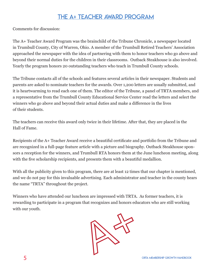#### The A+ Teacher Award Program

Comments for discussion:

The A+ Teacher Award Program was the brainchild of the Tribune Chronicle, a newspaper located in Trumbull County, City of Warren, Ohio. A member of the Trumbull Retired Teachers' Association approached the newspaper with the idea of partnering with them to honor teachers who go above and beyond their normal duties for the children in their classrooms. Outback Steakhouse is also involved. Yearly the program honors 20 outstanding teachers who teach in Trumbull County schools.

The Tribune contacts all of the schools and features several articles in their newspaper. Students and parents are asked to nominate teachers for the awards. Over 1,200 letters are usually submitted, and it is heartwarming to read each one of them. The editor of the Tribune, a panel of TRTA members, and a representative from the Trumbull County Educational Service Center read the letters and select the winners who go above and beyond their actual duties and make a difference in the lives of their students.

The teachers can receive this award only twice in their lifetime. After that, they are placed in the Hall of Fame.

Recipients of the A+ Teacher Award receive a beautiful certificate and portfolio from the Tribune and are recognized in a full-page feature article with a picture and biography. Outback Steakhouse sponsors a reception for the winners, and Trumbull RTA honors them at the June luncheon meeting, along with the five scholarship recipients, and presents them with a beautiful medallion.

With all the publicity given to this program, there are at least 12 times that our chapter is mentioned, and we do not pay for this invaluable advertising. Each administrator and teacher in the county hears the name "TRTA" throughout the project.

Winners who have attended our luncheon are impressed with TRTA. As former teachers, it is rewarding to participate in a program that recognizes and honors educators who are still working with our youth.

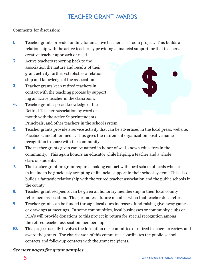#### Teacher Grant Awards

Comments for discussion:

- 1. Teacher grants provide funding for an active teacher classroom project. This builds a relationship with the active teacher by providing a financial support for that teacher's creative teacher approach or need.
- 2. Active teachers reporting back to the association the nature and results of their grant activity further establishes a relation ship and knowledge of the association.
- 3. Teacher grants keep retired teachers in contact with the teaching process by support ing an active teacher in the classroom.
- 4. Teacher grants spread knowledge of the Retired Teacher Association by word of mouth with the active Superintendents, Principals, and other teachers in the school system.



- 5. Teacher grants provide a service activity that can be advertised in the local press, website, Facebook, and other media. This gives the retirement organization positive name recognition to share with the community.
- 6. The teacher grants given can be named in honor of well-known educators in the community. This again honors an educator while helping a teacher and a whole class of students.
- **7.** The teacher grant program requires making contact with local school officials who are in incline to be graciously accepting of financial support in their school system. This also builds a fantastic relationship with the retired teacher association and the public schools in the county.
- 8. Teacher grant recipients can be given an honorary membership in their local county retirement association. This promotes a future member when that teacher does retire.
- 9. Teacher grants can be funded through local dues increases, fund raising give-away games or drawings at meetings. In some communities, local businesses or community clubs or PTA's will provide donations to this project in return for special recognition among the retired teacher association membership.
- 10. This project usually involves the formation of a committee of retired teachers to review and award the grants. The chairperson of this committee coordinates the public-school contacts and follow up contacts with the grant recipients.

#### *See next pages for grant samples.*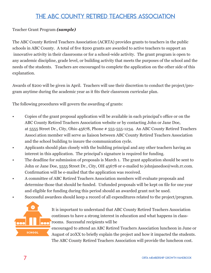#### The ABC COUNTY RETIRED TEACHERS ASSOCIATION

#### Teacher Grant Program *(sample)*

The ABC County Retired Teachers Association (ACRTA) provides grants to teachers in the public schools in ABC County. A total of five \$200 grants are awarded to active teachers to support an innovative activity in their classrooms or for a school-wide activity. The grant program is open to any academic discipline, grade level, or building activity that meets the purposes of the school and the needs of the students. Teachers are encouraged to complete the application on the other side of this explanation.

Awards of \$200 will be given in April. Teachers will use their discretion to conduct the project/program anytime during the academic year as it fits their classroom curricular plan.

The following procedures will govern the awarding of grants:

- Copies of the grant proposal application will be available in each principal's office or on the ABC County Retired Teachers Association website or by contacting John or Jane Doe, at 5555 Street Dr., City, Ohio 45678, Phone # 555-555-1234. An ABC County Retired Teachers Associ ation member will serve as liaison between ABC County Retired Teachers Association and the school building to insure the communication cycle.
- Applicants should plan closely with the building principal and any other teachers having an interest in this application. The principal's signature is required for funding.
- The deadline for submission of proposals is March 1. The grant application should be sent to John or Jane Doe, 5555 Street Dr., City, OH 45678 or e-mailed to johnjanedoe@woh.rr.com. Confirmation will be e-mailed that the application was received.
- A committee of ABC Retired Teachers Association members will evaluate proposals and determine those that should be funded. Unfunded proposals will be kept on file for one year and eligible for funding during this period should an awarded grant not be used.
- Successful awardees should keep a record of all expenditures related to the project/program.



It is important to understand that ABC County Retired Teachers Association continues to have a strong interest in education and what happens in classrooms. Successful recipients will be

encouraged to attend an ABC Retired Teachers Association luncheon in June or August of 20XX to briefly explain the project and how it impacted the students. The ABC County Retired Teachers Association will provide the luncheon cost.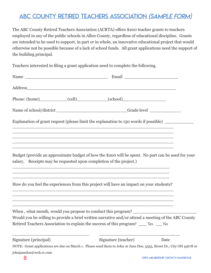### ABC COUNTY RETIRED TEACHERS ASSOCIATION (Sample Form)

The ABC County Retired Teachers Association (ACRTA) offers \$200 teacher grants to teachers employed in any of the public schools in Allen County, regardless of educational discipline. Grants are intended to be used to support, in part or in whole, an innovative educational project that would otherwise not be possible because of a lack of school funds. All grant applications need the support of the building principal.

Teachers interested in filing a grant application need to complete the following.

|                       | Phone: (home)_______________(cell)________________(school)_______________________                                                                                                                                                                                                                                                               |      |  |
|-----------------------|-------------------------------------------------------------------------------------------------------------------------------------------------------------------------------------------------------------------------------------------------------------------------------------------------------------------------------------------------|------|--|
|                       | Name of school/district _________________________________Grade level ____________                                                                                                                                                                                                                                                               |      |  |
|                       | Explanation of grant request (please limit the explanation to 150 words if possible) _______                                                                                                                                                                                                                                                    |      |  |
|                       |                                                                                                                                                                                                                                                                                                                                                 |      |  |
|                       |                                                                                                                                                                                                                                                                                                                                                 |      |  |
|                       | Budget (provide an approximate budget of how the \$200 will be spent. No part can be used for your<br>salary. Receipts may be requested upon completion of the project.)<br>,我们也不能在这里的时候,我们也不能在这里的时候,我们也不能会在这里的时候,我们也不能会在这里的时候,我们也不能会在这里的时候,我们也不能会在这里的时候,我们也不                                                                                   |      |  |
|                       | How do you feel the experiences from this project will have an impact on your students?<br>,我们也不能在这里的时候,我们也不能在这里的时候,我们也不能会在这里的时候,我们也不能会在这里的时候,我们也不能会在这里的时候,我们也不能会在这里的时候,我们也不                                                                                                                                                                    |      |  |
|                       | ,我们也不会有什么。""我们的人,我们也不会有什么?""我们的人,我们也不会有什么?""我们的人,我们也不会有什么?""我们的人,我们也不会有什么?""我们的人<br>When, what month, would you propose to conduct this program?<br>Would you be willing to provide a brief written narrative and/or attend a meeting of the ABC County<br>Retired Teachers Association to explain the success of this program? ____ Yes ___ No |      |  |
|                       |                                                                                                                                                                                                                                                                                                                                                 |      |  |
| Signature (principal) | Signature (teacher)                                                                                                                                                                                                                                                                                                                             | Date |  |

NOTE: Grant applications are due on March 1. Please send them to John or Jane Doe, 5555, Street Dr., City OH 45678 or johnjanedoe@woh.rr.com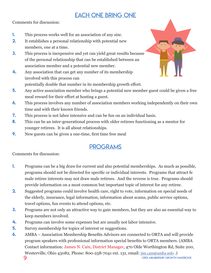### EACH ONE BRING ONE

Comments for discussion:

- 1. This process works well for an association of any size.
- **2.** It establishes a personal relationship with potential new members, one at a time.
- 3. This process is inexpensive and yet can yield great results because of the personal relationship that can be established between an association member and a potential new member.
- 4. Any association that can get any number of its membership involved with this process can



- 5. Any active association member who brings a potential new member guest could be given a free meal reward for their effort at hosting a guest.
- 6. This process involves any number of association members working independently on their own time and with their known friends.
- 7. This process is not labor intensive and can be fun on an individual basis.
- 8. This can be an inter-generational process with older retirees functioning as a mentor for younger retirees. It is all about relationships.
- 9. New guests can be given a one-time, first time free meal

## PROGRAMS

Comments for discussion:

- 1. Programs can be a big draw for current and also potential memberships. As much as possible, programs should not be directed for specific or individual interests. Programs that attract fe male retiree interests may not draw male retirees. And the reverse is true. Programs should provide information on a most common but important topic of interest for any retiree.
- 2. Suggested programs could involve health care, right to vote, information on special needs of the elderly, insurance, legal information, information about scams, public service options, travel options, fun events to attend options, etc.
- **3.** Programs are not only an attractive way to gain members, but they are also an essential way to keep members involved.
- 4. Programs can involve some expenses but are usually not labor intensive.
- 5. Survey membership for topics of interest or suggestions.
- **9** ORTA MEMBERSHIP GROWTH HANDBOOK 6. AMBA – Association Membership Benefits Advisors are connected to ORTA and will provide program speakers with professional information special benefits to ORTA members. (AMBA Contact information: James N. Cain, District Manager, 470 Olde Worthington Rd, Suite 200, Westerville, Ohio 43082, Phone: 800-258-7041 ext. 131, email: jim.cain@amba.info.)

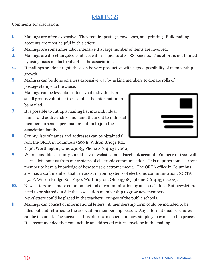#### MAILINGS

Comments for discussion:

- 1. Mailings are often expensive. They require postage, envelopes, and printing. Bulk mailing accounts are most helpful in this effort.
- **2.** Mailings are sometimes labor intensive if a large number of items are involved.
- 3. Mailings are direct targeted contacts with recipients of STRS benefits. This effort is not limited by using mass media to advertise the association.
- 4. If mailings are done right, they can be very productive with a good possibility of membership growth.
- 5. Mailings can be done on a less expensive way by asking members to donate rolls of postage stamps to the cause.
- 6. Mailings can be less labor intensive if individuals or small groups volunteer to assemble the information to be mailed.
- 7. It is possible to cut up a mailing list into individual names and address slips and hand them out to individal members to send a personal invitation to join the association family.



- 8. County lists of names and addresses can be obtained f rom the ORTA in Columbus (250 E. Wilson Bridge Rd., #190, Worthington, Ohio 43085, Phone # 614-431-7002)
- 9. Where possible, a county should have a website and a Facebook account. Younger retirees will learn a lot about us from our systems of electronic communication. This requires some current member to have a knowledge of how to use electronic media. The ORTA office in Columbus also has a staff member that can assist in your systems of electronic communication, (ORTA 250 E. Wilson Bridge Rd., #190, Worthington, Ohio 43085, phone # 614-431-7002).
- 10. Newsletters are a more common method of communication by an association. But newsletters need to be shared outside the association membership to grow new members. Newsletters could be placed in the teachers' lounges of the public schools.
- 11. Mailings can consist of informational letters. A membership form could be included to be filled out and returned to the association membership person. Any informational brochures can be included. The success of this effort can depend on how simple you can keep the process. It is recommended that you include an addressed return envelope in the mailing.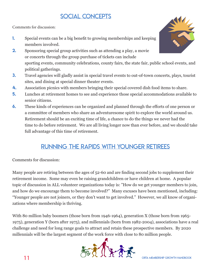## SOCIAL CONCEPTS

Comments for discussion:

- 1. Special events can be a big benefit to growing memberships and keeping members involved.
- **2.** Sponsoring special group activities such as attending a play, a movie or concerts through the group purchase of tickets can include sporting events, community celebrations, county fairs, the state fair, public school events, and political gatherings.
- **3.** Travel agencies will gladly assist in special travel events to out-of-town concerts, plays, tourist sites, and dining at special dinner theater events.
- 4. Association picnics with members bringing their special covered dish food items to share.
- 5. Lunches at retirement homes to see and experience those special accommodations available to senior citizens.
- 6. These kinds of experiences can be organized and planned through the efforts of one person or a committee of members who share an adventuresome spirit to explore the world around us. Retirement should be an exciting time of life, a chance to do the things we never had the time to do before retirement. We are all living longer now than ever before, and we should take full advantage of this time of retirement.

### RUNNING THE RAPIDS WITH YOUNGER RETIREES

Comments for discussion:

Many people are retiring between the ages of 52-60 and are finding second jobs to supplement their retirement income. Some may even be raising grandchildren or have children at home. A popular topic of discussion in ALL volunteer organizations today is: "How do we get younger members to join, and how do we encourage them to become involved?" Many excuses have been mentioned, including: "Younger people are not joiners, or they don't want to get involved." However, we all know of organizations where membership is thriving.

With 80 million baby boomers (those born from 1946-1964), generation X (those born from 1965-1975), generation Y (born after 1975), and millennials (born from 1982-2004), associations have a real challenge and need for long range goals to attract and retain these prospective members. By 2020 millennials will be the largest segment of the work force with close to 80 million people.



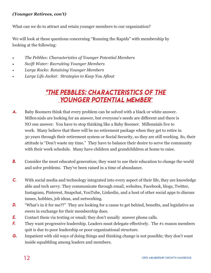#### *(Younger Retirees, con't)*

What can we do to attract and retain younger members to our organization?

We will look at these questions concerning "Running the Rapids" with membership by looking at the following:

- *The Pebbles: Characteristics of Younger Potential Members*
- *Swift Water: Recruiting Younger Members*
- *Large Rocks: Retaining Younger Members*
- *Large Life Jacket: Strategies to Keep You Afloat*

#### *\*The Pebbles: Characteristics of the Younger Potential Member*\*

- *A.* Baby Boomers think that every problem can be solved with a black or white answer. Millennials are looking for an answer, but everyone's needs are different and there is NO one answer. You have to stop thinking like a Baby Boomer. Millennials live to work. Many believe that there will be no retirement package when they get to retire in 30 years through their retirement system or Social Security, so they are still working. So, their attitude is "Don't waste my time." They have to balance their desire to serve the community with their work schedule. Many have children and grandchildren at home to raise.
- **B.** Consider the most educated generation; they want to use their education to change the world and solve problems. They've been raised in a time of abundance.
- *C.* With social media and technology integrated into every aspect of their life, they are knowledge able and tech savvy. They communicate through email, websites, Facebook, blogs, Twitter, Instagram, Pinterest, Snapchat, YouTube, Linkedin, and a host of other social apps to discuss issues, hobbies, job ideas, and networking.
- *D.* "What's in it for me??" They are looking for a cause to get behind, benefits, and legislative an swers in exchange for their membership dues.
- *E.* Contact them via texting or email; they don't usually answer phone calls.
- **F.** They want progressive leadership. Leaders must delegate effectively. The #1 reason members quit is due to poor leadership or poor organizational structure.
- *G.* Impatient with old ways of doing things and thinking change is not possible; they don't want inside squabbling among leaders and members.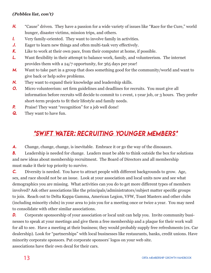#### *(Pebbles list, con't)*

- *H.* "Cause" driven. They have a passion for a wide variety of issues like "Race for the Cure," world hunger, disaster victims, mission trips, and others.
- *I.* Very family-oriented. They want to involve family in activities.
- *J.* Eager to learn new things and often multi-task very effectively.
- *K.* Like to work at their own pace, from their computer at home, if possible.
- *L.* Want flexibility in their attempt to balance work, family, and volunteerism. The internet provides them with a 24/7 opportunity, for 365 days per year!
- *M.* Want to take part in a group that does something good for the community/world and want to give back or help solve problems.
- *N.* They want to expand their knowledge and leadership skills.
- *O.* Micro volunteerism: set firm guidelines and deadlines for recruits. You must give all information before recruits will decide to commit to 1 event, 1-year job, or 3 hours. They prefer short-term projects to fit their lifestyle and family needs.
- **P.** Praise! They want "recognition" for a job well done!
- *Q.* They want to have fun.

#### *\*Swift Water: Recruiting Younger Members\**

*A.* Change, change, change, is inevitable. Embrace it or go the way of the dinosaurs.

**B.** Leadership is needed for change. Leaders must be able to think outside the box for solutions and new ideas about membership recruitment. The Board of Directors and all membership must make it their top priority to survive.

*C.* Diversity is needed. You have to attract people with different backgrounds to grow. Age, sex, and race should not be an issue. Look at your association and local units now and see what demographics you are missing. What activities can you do to get more different types of members involved? Ask other associations like the principals/administrators/subject matter specific groups to join. Reach out to Delta Kappa Gamma, American Legion, VFW, Toast Masters and other clubs (including minority clubs) in your area to join you for a meeting once or twice a year. You may need to consolidate with other similar associations.

**D.** Corporate sponsorship of your association or local unit can help you. Invite community businesses to speak at your meetings and give them a free membership and a plaque for their work wall for all to see. Have a meeting at their business; they would probably supply free refreshments (ex. Car dealership). Look for "partnerships" with local businesses like restaurants, banks, credit unions. Have minority corporate sponsors. Put corporate sponsors' logos on your web site. associations have their own decal for their cars.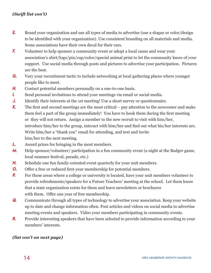- *E.* Brand your organization and use all types of media to advertise (use a slogan or color/design to be identified with your organization). Use consistent branding on all materials and media. Some associations have their own decal for their cars.
- **F.** Volunteer to help sponsor a community event or adopt a local cause and wear your association's shirt/logo/pin/cap/color/special animal print to let the community know of your support. Use social media through posts and pictures to advertise your participation. Pictures are the best.
- *G.* Vary your recruitment tactic to include networking at local gathering places where younger people like to meet.
- *H.* Contact potential members personally on a one-to-one basis.
- *I.* Send personal invitations to attend your meetings via email or social media.
- *J.* Identify their interests at the 1st meeting! Use a short survey or questionnaire.
- *K.* The first and second meetings are the most critical pay attention to the newcomer and make them feel a part of the group immediately! You have to hook them during the first meeting or they will not return. Assign a member to the new recruit to visit with him/her, introduce him/her to the group, interact with him/her and find out what his/her interests are. Write him/her a "thank you" email for attending, and text and invite him/her to the next meeting.
- *L.* Award prizes for bringing in the most members.
- *M.* Help sponsor/volunteer/ participation in a fun community event (a night at the Badger game, local summer festival, parade, etc.)
- *N.* Schedule one fun family-oriented event quarterly for your unit members.
- *O.* Offer a free or reduced first-year membership for potential members.
- **P.** For those areas where a college or university is located, have your unit members volunteer to provide refreshments/speakers for a Future Teachers' meeting at the school. Let them know that a state organization exists for them and leave newsletters or brochures with them. Offer one year of free membership.
- **Q.** Communicate through all types of technology to advertise your association. Keep your website up to date and change information often. Post articles and videos on social media to advertise meeting events and speakers. Video your members participating in community events.
- **R.** Provide interesting speakers that have been selected to provide information according to your members' interests.

#### *(list con't on next page)*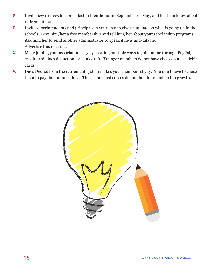- **S.** Invite new retirees to a breakfast in their honor in September or May, and let them know about retirement issues.
- *T.* Invite superintendents and principals in your area to give an update on what is going on in the schools. Give him/her a free membership and tell him/her about your scholarship programs. Ask him/her to send another administrator to speak if he is unavailable. Advertise this meeting.
- *U.* Make joining your association easy by creating multiple ways to join online through PayPal, credit card, dues deduction, or bank draft. Younger members do not have checks but use debit cards.
- *V.* Dues Deduct from the retirement system makes your members sticky. You don't have to chase them to pay their annual dues. This is the most successful method for membership growth.

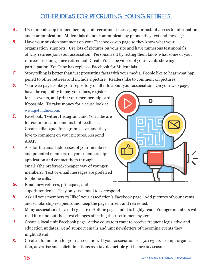#### Other ideas for recruiting young retirees

- **A.** Use a mobile app for membership and recruitment messaging for instant access to information and communication. Millennials do not communicate by phone; they text and message.
- *b.* Have your mission statement on your Facebook/web page so they know what your organization supports. Use lots of pictures on your site and have numerous testimonials of why retirees join your association. Personalize it by letting them know what some of your retirees are doing since retirement. Create YouTube videos of your events showing participation. YouTube has replaced Facebook for Millennials.
- *c.* Story telling is better than just presenting facts with your media. People like to hear what hap pened to other retirees and include a picture. Readers like to comment on pictures.
- *D.* Your web page is like your repository of all info about your association. On your web page,
	- have the capability to pay your dues, register for events, and print your membership card if possible. To raise money for a cause look at www.gofundme.com.
- *e.* Facebook, Twitter, Instagram, and YouTube are for communication and instant feedback. Create a dialogue. Instagram is live, and they love to comment on your pictures. Respond ASAP.
- *f.* Ask for the email addresses of your members and potential members on your membership application and contact them through email (the preferred/cheaper way of younger members.) Text or email messages are preferred to phone calls.
- 

 $\overline{O}$ 

- *g.* Email new retirees, principals, and superintendents. They only use email to correspond.
- *h.* Ask all your members to "like" your association's Facebook page. Add pictures of your events and scholarship recipients and keep the page current and refreshed.
- *l.* Many associations have a Legislative Hotline page, and it is highly read. Younger members will read it to find out the latest changes affecting their retirement system.
- *j.* Create a local unit Facebook page. Active educators want to receive frequent legislative and education updates. Send support emails and unit newsletters of upcoming events they might attend.
- **K.** Create a foundation for your association. If your association is a 501 c3 tax-exempt organiza tion, advertise and solicit donations as a tax-deductible gift before tax season.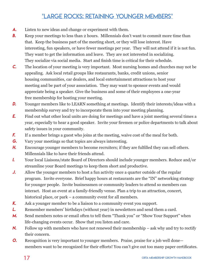#### \*Large Rocks: Retaining Younger Members\*

- *A.* Listen to new ideas and change or experiment with them.
- **B.** Keep your meetings to less than 2 hours. Millennials don't want to commit more time than that. Keep the business part of the meeting short, or they will lose interest. Have interesting, fun speakers, or have fewer meetings per year. They will not attend if it is not fun. They want to get the information and leave. They are not interested in socializing. They socialize via social media. Start and finish time is critical for their schedule.
- *C.* The location of your meeting is very important. Most nursing homes and churches may not be appealing. Ask local retail groups like restaurants, banks, credit unions, senior housing communities, car dealers, and local entertainment attractions to host your meeting and be part of your association. They may want to sponsor events and would appreciate being a speaker. Give the business and some of their employees a one-year free membership for hosting your meeting.
- **D.** Younger members like to LEARN something at meetings. Identify their interests/ideas with a membership survey and try to incorporate them into your meeting planning.
- **E.** Find out what other local units are doing for meetings and have a joint meeting several times a year, especially to hear a good speaker. Invite your firemen or police departments to talk about safety issues in your community.
- **F.** If a member brings a guest who joins at the meeting, waive cost of the meal for both.
- *G.* Vary your meetings so that topics are always interesting.
- *H.* Encourage younger members to become recruiters; if they are fulfilled they can sell others. Millennials like to have their friends attend.
- *I.* Your local Liaisons/state Board of Directors should include younger members. Reduce and/or streamline your Board meetings to keep them short and productive.
- *J.* Allow the younger members to host a fun activity once a quarter outside of the regular program. Invite everyone. Brief happy hours at restaurants are the "IN" networking strategy for younger people. Invite businessmen or community leaders to attend so members can interact. Host an event at a family-friendly venue. Plan a trip to an attraction, concert, historical place, or park – a community event for all members.
- *K.* Ask a younger member to be a liaison to a community event you support.
- **L.** Remember members' birthdays (without year) in newsletters and send them a card.
- M. Send members notes or email often to tell them "Thank you" or "Show Your Support" when life-changing events occur. Show that you listen and care.
- *N.* Follow up with members who have not renewed their membership ask why and try to rectify their concern.
- **O.** Recognition is very important to younger members. Praise, praise for a job well done members want to be recognized for their efforts! You can't give out too many paper certificates.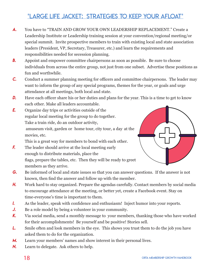## \*Large life Jacket: Strategies to keep Your Afloat\*

- *A.* You have to "TRAIN AND GROW YOUR OWN LEADERSHIP REPLACEMENT." Create a Leadership Institute or Leadership training session at your convention/regional meeting/or special summit. Invite prospective members to train with existing local and state association leaders (President, VP, Secretary, Treasurer, etc.) and learn the requirements and responsibilities needed for secession planning.
- **B.** Appoint and empower committee chairpersons as soon as possible. Be sure to choose individuals from across the entire group, not just from one subset. Advertise these positions as fun and worthwhile.
- *C.* Conduct a summer planning meeting for officers and committee chairpersons. The leader may want to inform the group of any special programs, themes for the year, or goals and urge attendance at all meetings, both local and state.
- *D.* Have each officer share his or her duties and plans for the year. This is a time to get to know each other. Make all leaders accountable.
- *E.* Organize day trips or activities outside of the regular local meeting for the group to do together. Take a train ride, do an outdoor activity, amuseum visit, garden or home tour, city tour, a day at the movies, etc.

This is a great way for members to bond with each other.

**F.** The leader should arrive at the local meeting early enough to distribute materials, place the flags, prepare the tables, etc. Then they will be ready to greet members as they arrive.



- **G.** Be informed of local and state issues so that you can answer questions. If the answer is not known, then find the answer and follow up with the member.
- **H.** Work hard to stay organized. Prepare the agendas carefully. Contact members by social media to encourage attendance at the meeting, or better yet, create a Facebook event. Stay on time-everyone's time is important to them.
- *I.* As the leader, speak with confidence and enthusiasm! Inject humor into your reports.
- *J.* Be a role model by being a volunteer in your community.
- *K.* Via social media, send a monthly message to your members, thanking those who have worked for their accomplishments! Be yourself and be positive! Stories sell.
- **L.** Smile often and look members in the eye. This shows you trust them to do the job you have asked them to do for the organization.
- *M.* Learn your members' names and show interest in their personal lives.
- *N.* Learn to delegate. Ask others to help.